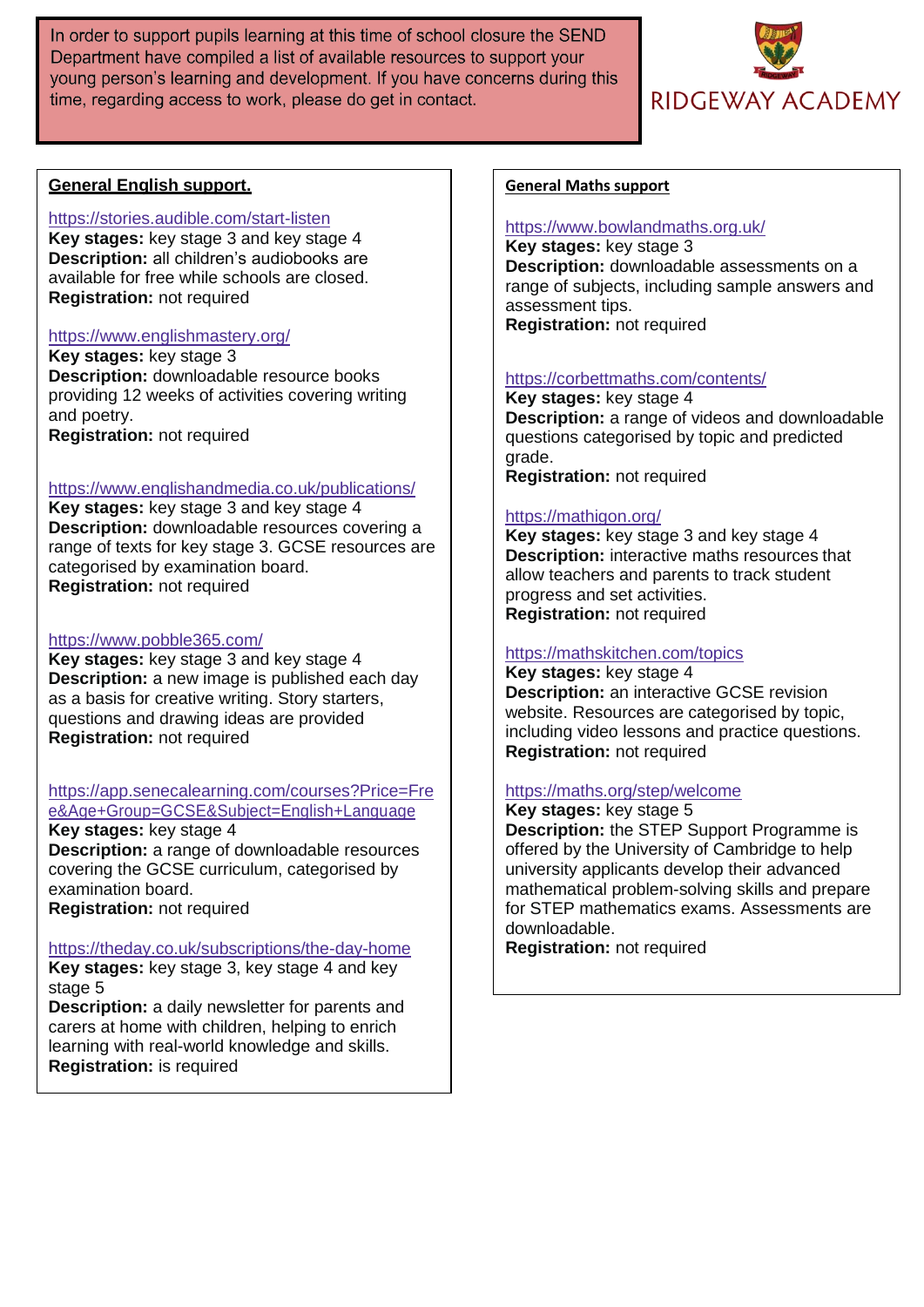In order to support pupils learning at this time of school closure the SEND Department have compiled a list of available resources to support your young person's learning and development. If you have concerns during this time, regarding access to work, please do get in contact.



# **General English support.**

## <https://stories.audible.com/start-listen>

**Key stages:** key stage 3 and key stage 4 **Description:** all children's audiobooks are available for free while schools are closed. **Registration:** not required

## <https://www.englishmastery.org/>

**Key stages:** key stage 3 **Description:** downloadable resource books providing 12 weeks of activities covering writing and poetry. **Registration:** not required

#### <https://www.englishandmedia.co.uk/publications/>

**Key stages:** key stage 3 and key stage 4 **Description:** downloadable resources covering a range of texts for key stage 3. GCSE resources are categorised by examination board. **Registration:** not required

# <https://www.pobble365.com/>

**Key stages:** key stage 3 and key stage 4 **Description:** a new image is published each day as a basis for creative writing. Story starters, questions and drawing ideas are provided **Registration:** not required

# [https://app.senecalearning.com/courses?Price=Fre](https://app.senecalearning.com/courses?Price=Free&Age%2BGroup=GCSE&Subject=English%2BLanguage)

[e&Age+Group=GCSE&Subject=English+Language](https://app.senecalearning.com/courses?Price=Free&Age%2BGroup=GCSE&Subject=English%2BLanguage) **Key stages:** key stage 4

**Description:** a range of downloadable resources covering the GCSE curriculum, categorised by examination board.

**Registration:** not required

# <https://theday.co.uk/subscriptions/the-day-home>

**Key stages:** key stage 3, key stage 4 and key stage 5

**Description:** a daily newsletter for parents and carers at home with children, helping to enrich learning with real-world knowledge and skills. **Registration:** is required

#### **General Maths support**

#### <https://www.bowlandmaths.org.uk/>

**Key stages:** key stage 3 **Description:** downloadable assessments on a range of subjects, including sample answers and assessment tips. **Registration:** not required

#### <https://corbettmaths.com/contents/>

**Key stages:** key stage 4 **Description:** a range of videos and downloadable questions categorised by topic and predicted grade. **Registration:** not required

## <https://mathigon.org/>

**Key stages:** key stage 3 and key stage 4 **Description:** interactive maths resources that allow teachers and parents to track student progress and set activities. **Registration:** not required

# <https://mathskitchen.com/topics>

**Key stages:** key stage 4 **Description:** an interactive GCSE revision website. Resources are categorised by topic, including video lessons and practice questions. **Registration:** not required

# <https://maths.org/step/welcome>

**Key stages:** key stage 5 **Description:** the STEP Support Programme is offered by the University of Cambridge to help university applicants develop their advanced mathematical problem-solving skills and prepare for STEP mathematics exams. Assessments are downloadable.

**Registration:** not required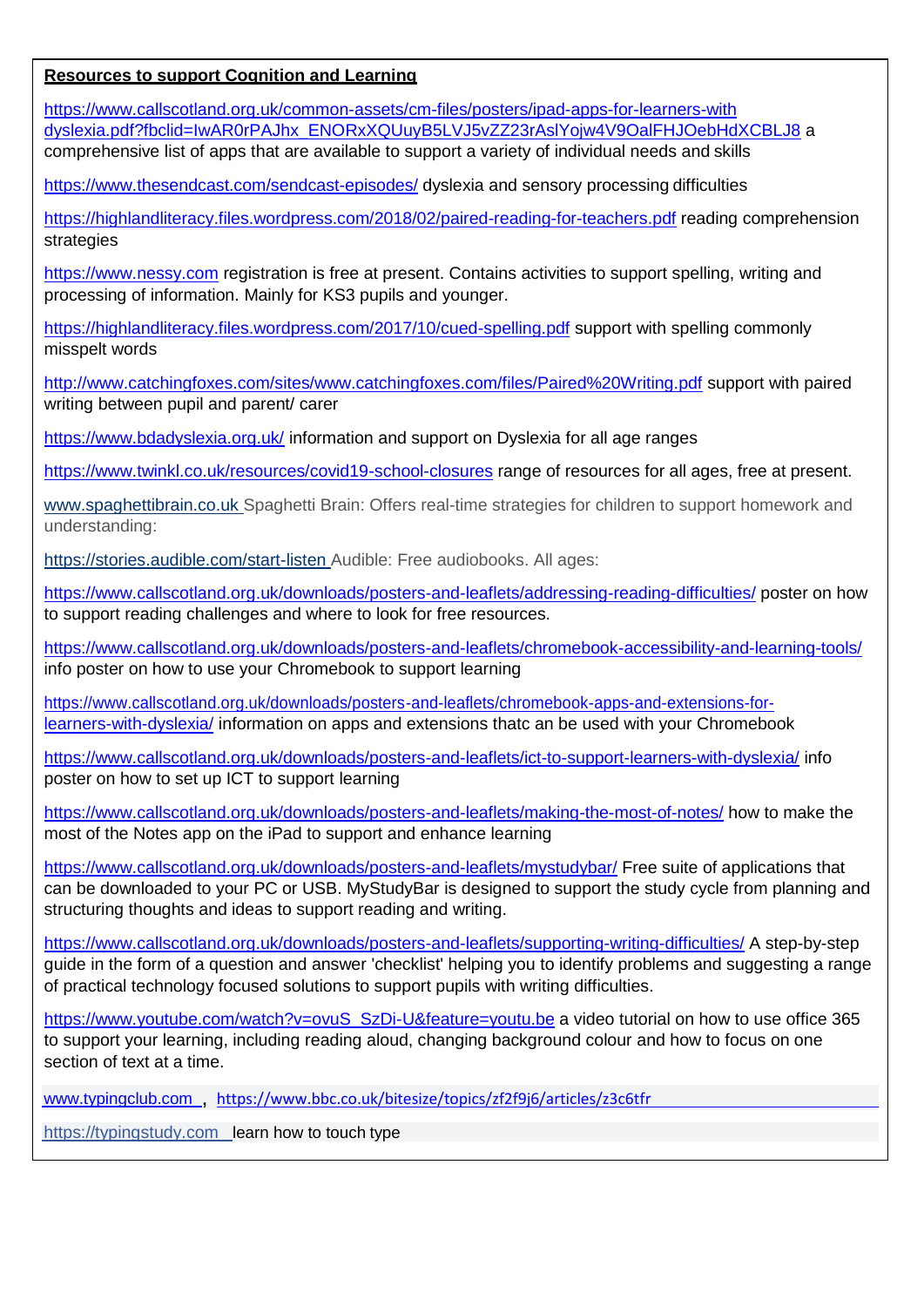# **Resources to support Cognition and Learning**

[https://www.callscotland.org.uk/common-assets/cm-files/posters/ipad-apps-for-learners-with](https://www.callscotland.org.uk/common-assets/cm-files/posters/ipad-apps-for-learners-with%20dyslexia.pdf?fbclid=IwAR0rPAJhx_ENORxXQUuyB5LVJ5vZZ23rAslYojw4V9OalFHJOebHdXCBLJ8) [dyslexia.pdf?fbclid=IwAR0rPAJhx\\_ENORxXQUuyB5LVJ5vZZ23rAslYojw4V9OalFHJOebHdXCBLJ8](https://www.callscotland.org.uk/common-assets/cm-files/posters/ipad-apps-for-learners-with%20dyslexia.pdf?fbclid=IwAR0rPAJhx_ENORxXQUuyB5LVJ5vZZ23rAslYojw4V9OalFHJOebHdXCBLJ8) a comprehensive list of apps that are available to support a variety of individual needs and skills

<https://www.thesendcast.com/sendcast-episodes/> dyslexia and sensory processing difficulties

<https://highlandliteracy.files.wordpress.com/2018/02/paired-reading-for-teachers.pdf> reading comprehension strategies

[https://www.nessy.com](https://www.nessy.com/) registration is free at present. Contains activities to support spelling, writing and processing of information. Mainly for KS3 pupils and younger.

<https://highlandliteracy.files.wordpress.com/2017/10/cued-spelling.pdf> support with spelling commonly misspelt words

<http://www.catchingfoxes.com/sites/www.catchingfoxes.com/files/Paired%20Writing.pdf> support with paired writing between pupil and parent/ carer

<https://www.bdadyslexia.org.uk/> information and support on Dyslexia for all age ranges

<https://www.twinkl.co.uk/resources/covid19-school-closures> range of resources for all ages, free at present.

[www.spaghettibrain.co.uk S](http://www.spaghettibrain.co.uk/)paghetti Brain: Offers real-time strategies for children to support homework and understanding:

[https://stories.audible.com/start-listen A](https://stories.audible.com/start-listen)udible: Free audiobooks. All ages:

<https://www.callscotland.org.uk/downloads/posters-and-leaflets/addressing-reading-difficulties/> poster on how to support reading challenges and where to look for free resources.

<https://www.callscotland.org.uk/downloads/posters-and-leaflets/chromebook-accessibility-and-learning-tools/> info poster on how to use your Chromebook to support learning

[https://www.callscotland.org.uk/downloads/posters-and-leaflets/chromebook-apps-and-extensions-for](https://www.callscotland.org.uk/downloads/posters-and-leaflets/chromebook-apps-and-extensions-for-learners-with-dyslexia/)[learners-with-dyslexia/](https://www.callscotland.org.uk/downloads/posters-and-leaflets/chromebook-apps-and-extensions-for-learners-with-dyslexia/) information on apps and extensions thatc an be used with your Chromebook

<https://www.callscotland.org.uk/downloads/posters-and-leaflets/ict-to-support-learners-with-dyslexia/> info poster on how to set up ICT to support learning

<https://www.callscotland.org.uk/downloads/posters-and-leaflets/making-the-most-of-notes/> how to make the most of the Notes app on the iPad to support and enhance learning

<https://www.callscotland.org.uk/downloads/posters-and-leaflets/mystudybar/> Free suite of applications that can be downloaded to your PC or USB. MyStudyBar is designed to support the study cycle from planning and structuring thoughts and ideas to support reading and writing.

<https://www.callscotland.org.uk/downloads/posters-and-leaflets/supporting-writing-difficulties/> A step-by-step guide in the form of a question and answer 'checklist' helping you to identify problems and suggesting a range of practical technology focused solutions to support pupils with writing difficulties.

[https://www.youtube.com/watch?v=ovuS\\_SzDi-U&feature=youtu.be](https://www.youtube.com/watch?v=ovuS_SzDi-U&feature=youtu.be) a video tutorial on how to use office 365 to support your learning, including reading aloud, changing background colour and how to focus on one section of text at a time.

[www.typingclub.com](http://www.typingclub.com/) , <https://www.bbc.co.uk/bitesize/topics/zf2f9j6/articles/z3c6tfr>

[https://typingstudy.com](https://typingstudy.com/?fbclid=IwAR3o-SMrXZ4rRlaN5mHkqqwWZGqKP_YAoBn1-s0RFq_4E_1CIzZ8zFLUDl4) learn how to touch type